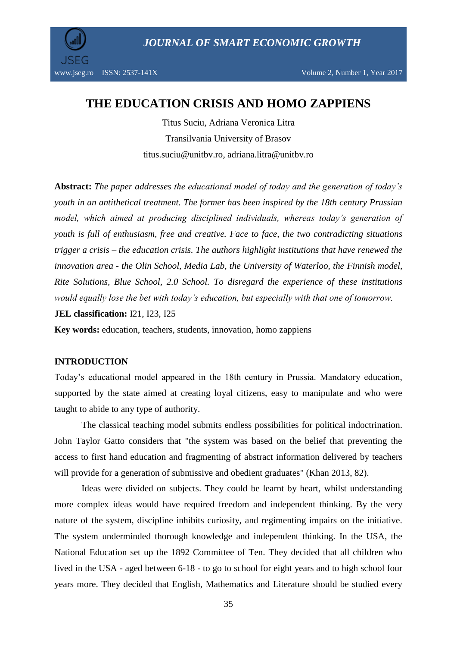*JOURNAL OF SMART ECONOMIC GROWTH*



# **THE EDUCATION CRISIS AND HOMO ZAPPIENS**

Titus Suciu, Adriana Veronica Litra Transilvania University of Brasov titus.suciu@unitbv.ro, adriana.litra@unitbv.ro

**Abstract:** *The paper addresses the educational model of today and the generation of today's youth in an antithetical treatment. The former has been inspired by the 18th century Prussian model, which aimed at producing disciplined individuals, whereas today's generation of youth is full of enthusiasm, free and creative. Face to face, the two contradicting situations trigger a crisis – the education crisis. The authors highlight institutions that have renewed the innovation area - the Olin School, Media Lab, the University of Waterloo, the Finnish model, Rite Solutions, Blue School, 2.0 School. To disregard the experience of these institutions would equally lose the bet with today's education, but especially with that one of tomorrow.*

**JEL classification: I21**, **I23**, **I25** 

**Key words:** education, teachers, students, innovation, homo zappiens

## **INTRODUCTION**

Today's educational model appeared in the 18th century in Prussia. Mandatory education, supported by the state aimed at creating loyal citizens, easy to manipulate and who were taught to abide to any type of authority.

The classical teaching model submits endless possibilities for political indoctrination. John Taylor Gatto considers that "the system was based on the belief that preventing the access to first hand education and fragmenting of abstract information delivered by teachers will provide for a generation of submissive and obedient graduates" (Khan 2013, 82).

Ideas were divided on subjects. They could be learnt by heart, whilst understanding more complex ideas would have required freedom and independent thinking. By the very nature of the system, discipline inhibits curiosity, and regimenting impairs on the initiative. The system underminded thorough knowledge and independent thinking. In the USA, the National Education set up the 1892 Committee of Ten. They decided that all children who lived in the USA - aged between 6-18 - to go to school for eight years and to high school four years more. They decided that English, Mathematics and Literature should be studied every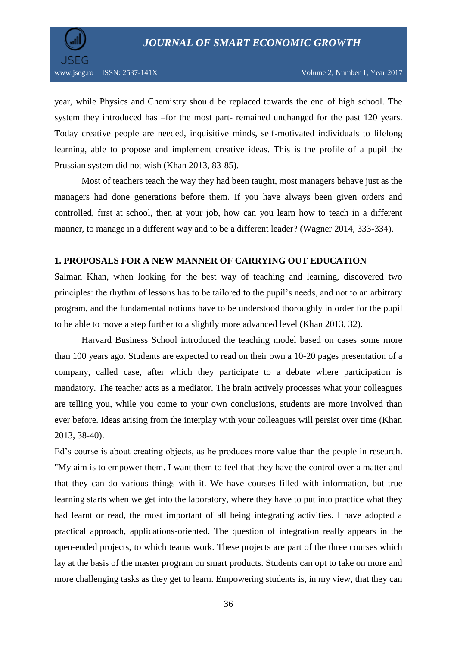

year, while Physics and Chemistry should be replaced towards the end of high school. The system they introduced has –for the most part- remained unchanged for the past 120 years. Today creative people are needed, inquisitive minds, self-motivated individuals to lifelong learning, able to propose and implement creative ideas. This is the profile of a pupil the Prussian system did not wish (Khan 2013, 83-85).

Most of teachers teach the way they had been taught, most managers behave just as the managers had done generations before them. If you have always been given orders and controlled, first at school, then at your job, how can you learn how to teach in a different manner, to manage in a different way and to be a different leader? (Wagner 2014, 333-334).

## **1. PROPOSALS FOR A NEW MANNER OF CARRYING OUT EDUCATION**

Salman Khan, when looking for the best way of teaching and learning, discovered two principles: the rhythm of lessons has to be tailored to the pupil's needs, and not to an arbitrary program, and the fundamental notions have to be understood thoroughly in order for the pupil to be able to move a step further to a slightly more advanced level (Khan 2013, 32).

Harvard Business School introduced the teaching model based on cases some more than 100 years ago. Students are expected to read on their own a 10-20 pages presentation of a company, called case, after which they participate to a debate where participation is mandatory. The teacher acts as a mediator. The brain actively processes what your colleagues are telling you, while you come to your own conclusions, students are more involved than ever before. Ideas arising from the interplay with your colleagues will persist over time (Khan 2013, 38-40).

Ed's course is about creating objects, as he produces more value than the people in research. "My aim is to empower them. I want them to feel that they have the control over a matter and that they can do various things with it. We have courses filled with information, but true learning starts when we get into the laboratory, where they have to put into practice what they had learnt or read, the most important of all being integrating activities. I have adopted a practical approach, applications-oriented. The question of integration really appears in the open-ended projects, to which teams work. These projects are part of the three courses which lay at the basis of the master program on smart products. Students can opt to take on more and more challenging tasks as they get to learn. Empowering students is, in my view, that they can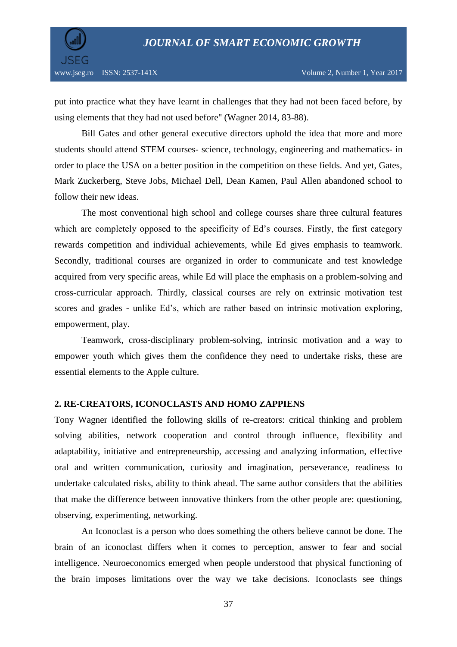

put into practice what they have learnt in challenges that they had not been faced before, by using elements that they had not used before" (Wagner 2014, 83-88).

Bill Gates and other general executive directors uphold the idea that more and more students should attend STEM courses- science, technology, engineering and mathematics- in order to place the USA on a better position in the competition on these fields. And yet, Gates, Mark Zuckerberg, Steve Jobs, Michael Dell, Dean Kamen, Paul Allen abandoned school to follow their new ideas.

The most conventional high school and college courses share three cultural features which are completely opposed to the specificity of Ed's courses. Firstly, the first category rewards competition and individual achievements, while Ed gives emphasis to teamwork. Secondly, traditional courses are organized in order to communicate and test knowledge acquired from very specific areas, while Ed will place the emphasis on a problem-solving and cross-curricular approach. Thirdly, classical courses are rely on extrinsic motivation test scores and grades - unlike Ed's, which are rather based on intrinsic motivation exploring, empowerment, play.

Teamwork, cross-disciplinary problem-solving, intrinsic motivation and a way to empower youth which gives them the confidence they need to undertake risks, these are essential elements to the Apple culture.

#### **2. RE-CREATORS, ICONOCLASTS AND HOMO ZAPPIENS**

Tony Wagner identified the following skills of re-creators: critical thinking and problem solving abilities, network cooperation and control through influence, flexibility and adaptability, initiative and entrepreneurship, accessing and analyzing information, effective oral and written communication, curiosity and imagination, perseverance, readiness to undertake calculated risks, ability to think ahead. The same author considers that the abilities that make the difference between innovative thinkers from the other people are: questioning, observing, experimenting, networking.

An Iconoclast is a person who does something the others believe cannot be done. The brain of an iconoclast differs when it comes to perception, answer to fear and social intelligence. Neuroeconomics emerged when people understood that physical functioning of the brain imposes limitations over the way we take decisions. Iconoclasts see things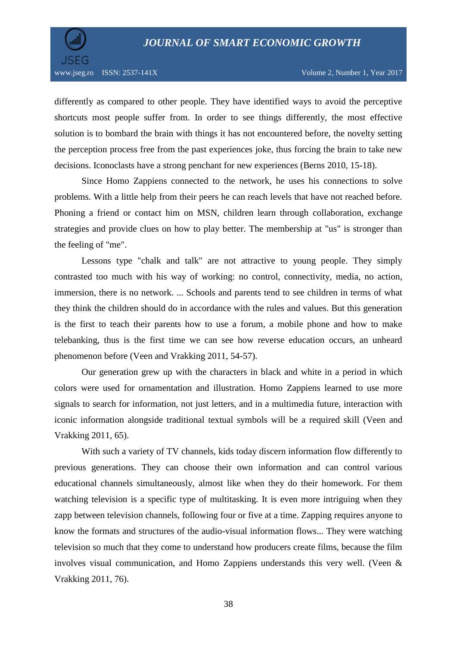

differently as compared to other people. They have identified ways to avoid the perceptive shortcuts most people suffer from. In order to see things differently, the most effective solution is to bombard the brain with things it has not encountered before, the novelty setting the perception process free from the past experiences joke, thus forcing the brain to take new decisions. Iconoclasts have a strong penchant for new experiences (Berns 2010, 15-18).

Since Homo Zappiens connected to the network, he uses his connections to solve problems. With a little help from their peers he can reach levels that have not reached before. Phoning a friend or contact him on MSN, children learn through collaboration, exchange strategies and provide clues on how to play better. The membership at "us" is stronger than the feeling of "me".

Lessons type "chalk and talk" are not attractive to young people. They simply contrasted too much with his way of working: no control, connectivity, media, no action, immersion, there is no network. ... Schools and parents tend to see children in terms of what they think the children should do in accordance with the rules and values. But this generation is the first to teach their parents how to use a forum, a mobile phone and how to make telebanking, thus is the first time we can see how reverse education occurs, an unheard phenomenon before (Veen and Vrakking 2011, 54-57).

Our generation grew up with the characters in black and white in a period in which colors were used for ornamentation and illustration. Homo Zappiens learned to use more signals to search for information, not just letters, and in a multimedia future, interaction with iconic information alongside traditional textual symbols will be a required skill (Veen and Vrakking 2011, 65).

With such a variety of TV channels, kids today discern information flow differently to previous generations. They can choose their own information and can control various educational channels simultaneously, almost like when they do their homework. For them watching television is a specific type of multitasking. It is even more intriguing when they zapp between television channels, following four or five at a time. Zapping requires anyone to know the formats and structures of the audio-visual information flows... They were watching television so much that they come to understand how producers create films, because the film involves visual communication, and Homo Zappiens understands this very well. (Veen & Vrakking 2011, 76).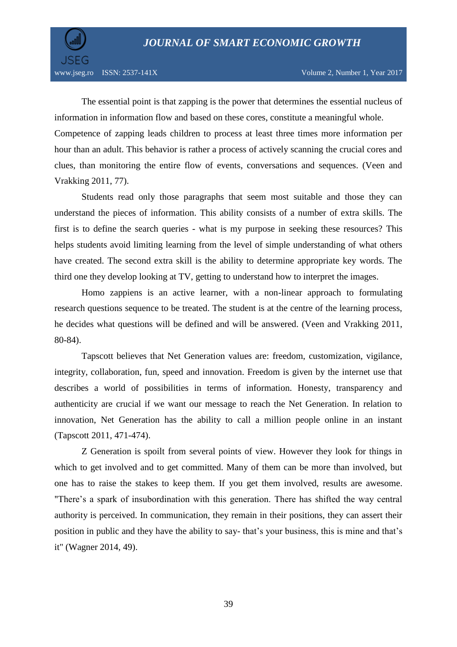

The essential point is that zapping is the power that determines the essential nucleus of information in information flow and based on these cores, constitute a meaningful whole. Competence of zapping leads children to process at least three times more information per hour than an adult. This behavior is rather a process of actively scanning the crucial cores and clues, than monitoring the entire flow of events, conversations and sequences. (Veen and Vrakking 2011, 77).

Students read only those paragraphs that seem most suitable and those they can understand the pieces of information. This ability consists of a number of extra skills. The first is to define the search queries - what is my purpose in seeking these resources? This helps students avoid limiting learning from the level of simple understanding of what others have created. The second extra skill is the ability to determine appropriate key words. The third one they develop looking at TV, getting to understand how to interpret the images.

Homo zappiens is an active learner, with a non-linear approach to formulating research questions sequence to be treated. The student is at the centre of the learning process, he decides what questions will be defined and will be answered. (Veen and Vrakking 2011, 80-84).

Tapscott believes that Net Generation values are: freedom, customization, vigilance, integrity, collaboration, fun, speed and innovation. Freedom is given by the internet use that describes a world of possibilities in terms of information. Honesty, transparency and authenticity are crucial if we want our message to reach the Net Generation. In relation to innovation, Net Generation has the ability to call a million people online in an instant (Tapscott 2011, 471-474).

Z Generation is spoilt from several points of view. However they look for things in which to get involved and to get committed. Many of them can be more than involved, but one has to raise the stakes to keep them. If you get them involved, results are awesome. "There's a spark of insubordination with this generation. There has shifted the way central authority is perceived. In communication, they remain in their positions, they can assert their position in public and they have the ability to say- that's your business, this is mine and that's it" (Wagner 2014, 49).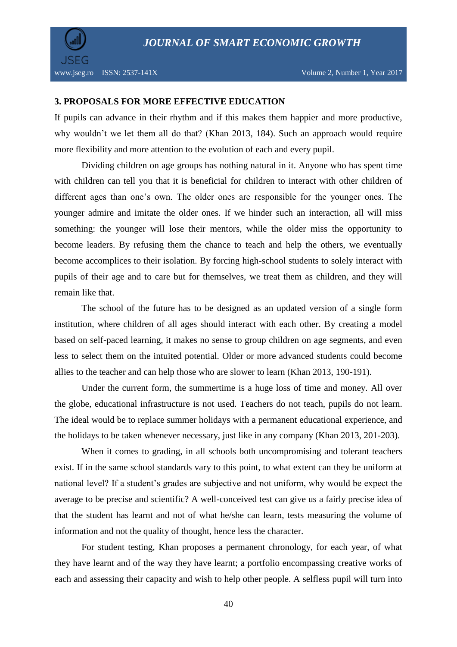

#### **3. PROPOSALS FOR MORE EFFECTIVE EDUCATION**

If pupils can advance in their rhythm and if this makes them happier and more productive, why wouldn't we let them all do that? (Khan 2013, 184). Such an approach would require more flexibility and more attention to the evolution of each and every pupil.

Dividing children on age groups has nothing natural in it. Anyone who has spent time with children can tell you that it is beneficial for children to interact with other children of different ages than one's own. The older ones are responsible for the younger ones. The younger admire and imitate the older ones. If we hinder such an interaction, all will miss something: the younger will lose their mentors, while the older miss the opportunity to become leaders. By refusing them the chance to teach and help the others, we eventually become accomplices to their isolation. By forcing high-school students to solely interact with pupils of their age and to care but for themselves, we treat them as children, and they will remain like that.

The school of the future has to be designed as an updated version of a single form institution, where children of all ages should interact with each other. By creating a model based on self-paced learning, it makes no sense to group children on age segments, and even less to select them on the intuited potential. Older or more advanced students could become allies to the teacher and can help those who are slower to learn (Khan 2013, 190-191).

Under the current form, the summertime is a huge loss of time and money. All over the globe, educational infrastructure is not used. Teachers do not teach, pupils do not learn. The ideal would be to replace summer holidays with a permanent educational experience, and the holidays to be taken whenever necessary, just like in any company (Khan 2013, 201-203).

When it comes to grading, in all schools both uncompromising and tolerant teachers exist. If in the same school standards vary to this point, to what extent can they be uniform at national level? If a student's grades are subjective and not uniform, why would be expect the average to be precise and scientific? A well-conceived test can give us a fairly precise idea of that the student has learnt and not of what he/she can learn, tests measuring the volume of information and not the quality of thought, hence less the character.

For student testing, Khan proposes a permanent chronology, for each year, of what they have learnt and of the way they have learnt; a portfolio encompassing creative works of each and assessing their capacity and wish to help other people. A selfless pupil will turn into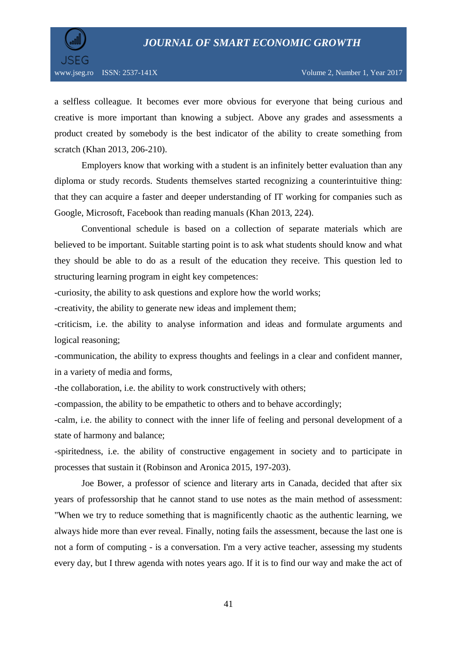

a selfless colleague. It becomes ever more obvious for everyone that being curious and creative is more important than knowing a subject. Above any grades and assessments a product created by somebody is the best indicator of the ability to create something from scratch (Khan 2013, 206-210).

Employers know that working with a student is an infinitely better evaluation than any diploma or study records. Students themselves started recognizing a counterintuitive thing: that they can acquire a faster and deeper understanding of IT working for companies such as Google, Microsoft, Facebook than reading manuals (Khan 2013, 224).

Conventional schedule is based on a collection of separate materials which are believed to be important. Suitable starting point is to ask what students should know and what they should be able to do as a result of the education they receive. This question led to structuring learning program in eight key competences:

-curiosity, the ability to ask questions and explore how the world works;

-creativity, the ability to generate new ideas and implement them;

-criticism, i.e. the ability to analyse information and ideas and formulate arguments and logical reasoning;

-communication, the ability to express thoughts and feelings in a clear and confident manner, in a variety of media and forms,

-the collaboration, i.e. the ability to work constructively with others;

-compassion, the ability to be empathetic to others and to behave accordingly;

-calm, i.e. the ability to connect with the inner life of feeling and personal development of a state of harmony and balance;

-spiritedness, i.e. the ability of constructive engagement in society and to participate in processes that sustain it (Robinson and Aronica 2015, 197-203).

Joe Bower, a professor of science and literary arts in Canada, decided that after six years of professorship that he cannot stand to use notes as the main method of assessment: "When we try to reduce something that is magnificently chaotic as the authentic learning, we always hide more than ever reveal. Finally, noting fails the assessment, because the last one is not a form of computing - is a conversation. I'm a very active teacher, assessing my students every day, but I threw agenda with notes years ago. If it is to find our way and make the act of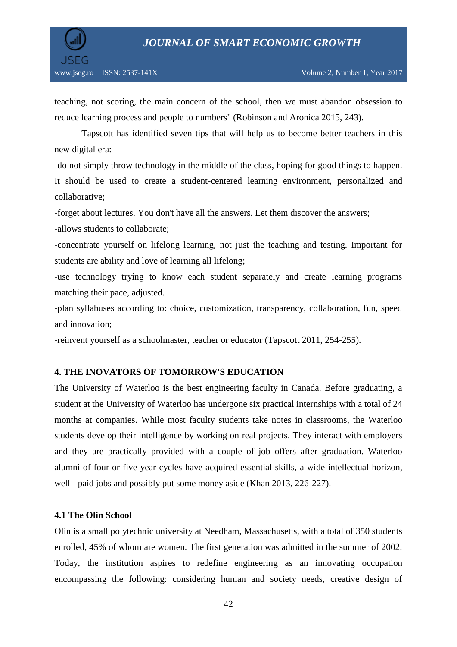

teaching, not scoring, the main concern of the school, then we must abandon obsession to reduce learning process and people to numbers" (Robinson and Aronica 2015, 243).

Tapscott has identified seven tips that will help us to become better teachers in this new digital era:

-do not simply throw technology in the middle of the class, hoping for good things to happen. It should be used to create a student-centered learning environment, personalized and collaborative;

-forget about lectures. You don't have all the answers. Let them discover the answers;

-allows students to collaborate;

-concentrate yourself on lifelong learning, not just the teaching and testing. Important for students are ability and love of learning all lifelong;

-use technology trying to know each student separately and create learning programs matching their pace, adjusted.

-plan syllabuses according to: choice, customization, transparency, collaboration, fun, speed and innovation;

-reinvent yourself as a schoolmaster, teacher or educator (Tapscott 2011, 254-255).

## **4. THE INOVATORS OF TOMORROW'S EDUCATION**

The University of Waterloo is the best engineering faculty in Canada. Before graduating, a student at the University of Waterloo has undergone six practical internships with a total of 24 months at companies. While most faculty students take notes in classrooms, the Waterloo students develop their intelligence by working on real projects. They interact with employers and they are practically provided with a couple of job offers after graduation. Waterloo alumni of four or five-year cycles have acquired essential skills, a wide intellectual horizon, well - paid jobs and possibly put some money aside (Khan 2013, 226-227).

#### **4.1 The Olin School**

Olin is a small polytechnic university at Needham, Massachusetts, with a total of 350 students enrolled, 45% of whom are women. The first generation was admitted in the summer of 2002. Today, the institution aspires to redefine engineering as an innovating occupation encompassing the following: considering human and society needs, creative design of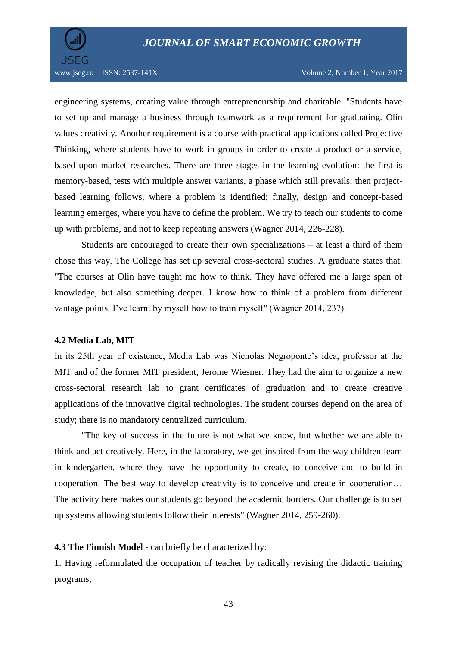

www.jseg.ro ISSN: 2537-141X Volume 2, Number 1, Year 2017

engineering systems, creating value through entrepreneurship and charitable. "Students have to set up and manage a business through teamwork as a requirement for graduating. Olin values creativity. Another requirement is a course with practical applications called Projective Thinking, where students have to work in groups in order to create a product or a service, based upon market researches. There are three stages in the learning evolution: the first is memory-based, tests with multiple answer variants, a phase which still prevails; then projectbased learning follows, where a problem is identified; finally, design and concept-based learning emerges, where you have to define the problem. We try to teach our students to come up with problems, and not to keep repeating answers (Wagner 2014, 226-228).

Students are encouraged to create their own specializations – at least a third of them chose this way. The College has set up several cross-sectoral studies. A graduate states that: "The courses at Olin have taught me how to think. They have offered me a large span of knowledge, but also something deeper. I know how to think of a problem from different vantage points. I've learnt by myself how to train myself" (Wagner 2014, 237).

## **4.2 Media Lab, MIT**

In its 25th year of existence, Media Lab was Nicholas Negroponte's idea, professor at the MIT and of the former MIT president, Jerome Wiesner. They had the aim to organize a new cross-sectoral research lab to grant certificates of graduation and to create creative applications of the innovative digital technologies. The student courses depend on the area of study; there is no mandatory centralized curriculum.

"The key of success in the future is not what we know, but whether we are able to think and act creatively. Here, in the laboratory, we get inspired from the way children learn in kindergarten, where they have the opportunity to create, to conceive and to build in cooperation. The best way to develop creativity is to conceive and create in cooperation… The activity here makes our students go beyond the academic borders. Our challenge is to set up systems allowing students follow their interests" (Wagner 2014, 259-260).

**4.3 The Finnish Model** - can briefly be characterized by:

1. Having reformulated the occupation of teacher by radically revising the didactic training programs;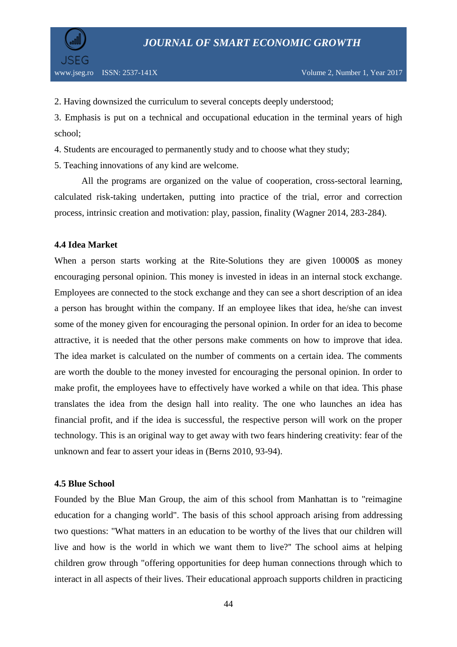

2. Having downsized the curriculum to several concepts deeply understood;

3. Emphasis is put on a technical and occupational education in the terminal years of high school;

4. Students are encouraged to permanently study and to choose what they study;

5. Teaching innovations of any kind are welcome.

All the programs are organized on the value of cooperation, cross-sectoral learning, calculated risk-taking undertaken, putting into practice of the trial, error and correction process, intrinsic creation and motivation: play, passion, finality (Wagner 2014, 283-284).

# **4.4 Idea Market**

When a person starts working at the Rite-Solutions they are given 10000\$ as money encouraging personal opinion. This money is invested in ideas in an internal stock exchange. Employees are connected to the stock exchange and they can see a short description of an idea a person has brought within the company. If an employee likes that idea, he/she can invest some of the money given for encouraging the personal opinion. In order for an idea to become attractive, it is needed that the other persons make comments on how to improve that idea. The idea market is calculated on the number of comments on a certain idea. The comments are worth the double to the money invested for encouraging the personal opinion. In order to make profit, the employees have to effectively have worked a while on that idea. This phase translates the idea from the design hall into reality. The one who launches an idea has financial profit, and if the idea is successful, the respective person will work on the proper technology. This is an original way to get away with two fears hindering creativity: fear of the unknown and fear to assert your ideas in (Berns 2010, 93-94).

# **4.5 Blue School**

Founded by the Blue Man Group, the aim of this school from Manhattan is to "reimagine education for a changing world". The basis of this school approach arising from addressing two questions: "What matters in an education to be worthy of the lives that our children will live and how is the world in which we want them to live?'' The school aims at helping children grow through "offering opportunities for deep human connections through which to interact in all aspects of their lives. Their educational approach supports children in practicing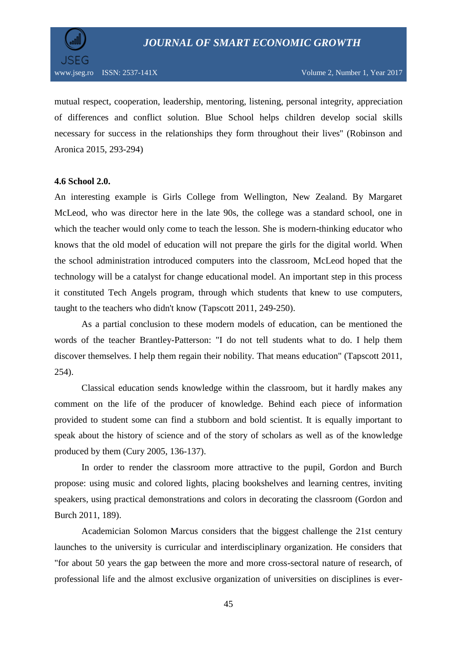

mutual respect, cooperation, leadership, mentoring, listening, personal integrity, appreciation of differences and conflict solution. Blue School helps children develop social skills necessary for success in the relationships they form throughout their lives'' (Robinson and Aronica 2015, 293-294)

#### **4.6 School 2.0.**

An interesting example is Girls College from Wellington, New Zealand. By Margaret McLeod, who was director here in the late 90s, the college was a standard school, one in which the teacher would only come to teach the lesson. She is modern-thinking educator who knows that the old model of education will not prepare the girls for the digital world. When the school administration introduced computers into the classroom, McLeod hoped that the technology will be a catalyst for change educational model. An important step in this process it constituted Tech Angels program, through which students that knew to use computers, taught to the teachers who didn't know (Tapscott 2011, 249-250).

As a partial conclusion to these modern models of education, can be mentioned the words of the teacher Brantley-Patterson: "I do not tell students what to do. I help them discover themselves. I help them regain their nobility. That means education" (Tapscott 2011, 254).

Classical education sends knowledge within the classroom, but it hardly makes any comment on the life of the producer of knowledge. Behind each piece of information provided to student some can find a stubborn and bold scientist. It is equally important to speak about the history of science and of the story of scholars as well as of the knowledge produced by them (Cury 2005, 136-137).

In order to render the classroom more attractive to the pupil, Gordon and Burch propose: using music and colored lights, placing bookshelves and learning centres, inviting speakers, using practical demonstrations and colors in decorating the classroom (Gordon and Burch 2011, 189).

Academician Solomon Marcus considers that the biggest challenge the 21st century launches to the university is curricular and interdisciplinary organization. He considers that "for about 50 years the gap between the more and more cross-sectoral nature of research, of professional life and the almost exclusive organization of universities on disciplines is ever-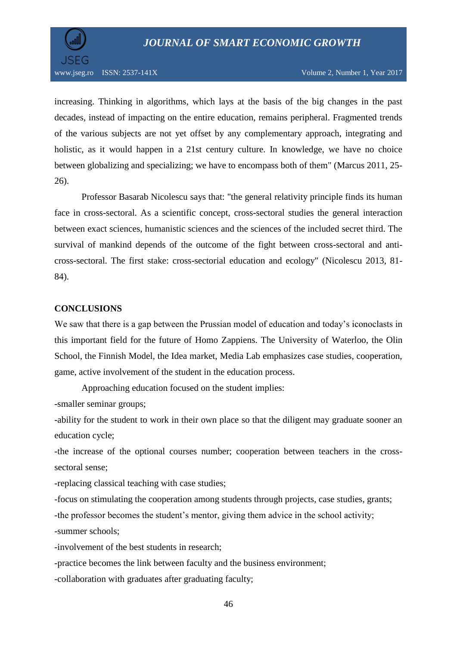

increasing. Thinking in algorithms, which lays at the basis of the big changes in the past decades, instead of impacting on the entire education, remains peripheral. Fragmented trends of the various subjects are not yet offset by any complementary approach, integrating and holistic, as it would happen in a 21st century culture. In knowledge, we have no choice between globalizing and specializing; we have to encompass both of them" (Marcus 2011, 25- 26).

Professor Basarab Nicolescu says that: "the general relativity principle finds its human face in cross-sectoral. As a scientific concept, cross-sectoral studies the general interaction between exact sciences, humanistic sciences and the sciences of the included secret third. The survival of mankind depends of the outcome of the fight between cross-sectoral and anticross-sectoral. The first stake: cross-sectorial education and ecology" (Nicolescu 2013, 81- 84).

# **CONCLUSIONS**

We saw that there is a gap between the Prussian model of education and today's iconoclasts in this important field for the future of Homo Zappiens. The University of Waterloo, the Olin School, the Finnish Model, the Idea market, Media Lab emphasizes case studies, cooperation, game, active involvement of the student in the education process.

Approaching education focused on the student implies:

-smaller seminar groups;

-ability for the student to work in their own place so that the diligent may graduate sooner an education cycle;

-the increase of the optional courses number; cooperation between teachers in the crosssectoral sense;

-replacing classical teaching with case studies;

-focus on stimulating the cooperation among students through projects, case studies, grants; -the professor becomes the student's mentor, giving them advice in the school activity; -summer schools;

-involvement of the best students in research;

-practice becomes the link between faculty and the business environment;

-collaboration with graduates after graduating faculty;